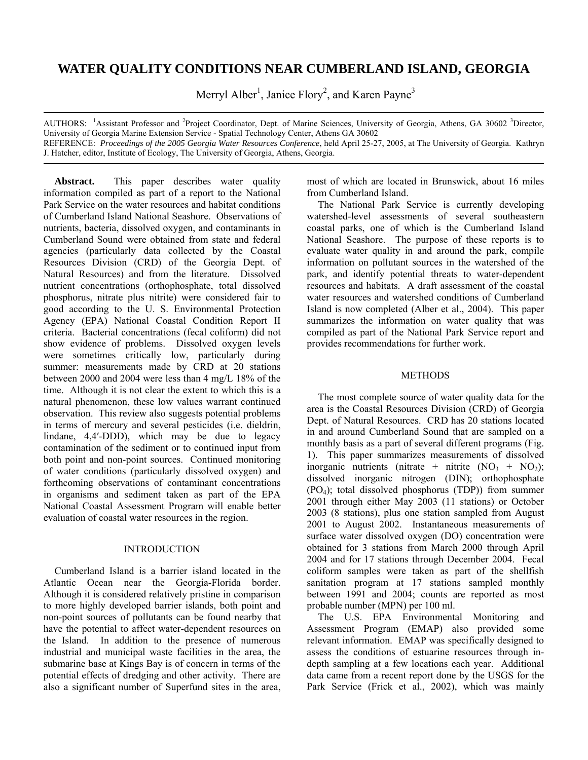# **WATER QUALITY CONDITIONS NEAR CUMBERLAND ISLAND, GEORGIA**

Merryl Alber<sup>1</sup>, Janice Flory<sup>2</sup>, and Karen Payne<sup>3</sup>

AUTHORS: <sup>1</sup>Assistant Professor and <sup>2</sup>Project Coordinator, Dept. of Marine Sciences, University of Georgia, Athens, GA 30602 <sup>3</sup>Director, University of Georgia Marine Extension Service - Spatial Technology Center, Athens GA 30602 REFERENCE: *Proceedings of the 2005 Georgia Water Resources Conference*, held April 25-27, 2005, at The University of Georgia. Kathryn J. Hatcher, editor, Institute of Ecology, The University of Georgia, Athens, Georgia.

**Abstract.** This paper describes water quality information compiled as part of a report to the National Park Service on the water resources and habitat conditions of Cumberland Island National Seashore. Observations of nutrients, bacteria, dissolved oxygen, and contaminants in Cumberland Sound were obtained from state and federal agencies (particularly data collected by the Coastal Resources Division (CRD) of the Georgia Dept. of Natural Resources) and from the literature. Dissolved nutrient concentrations (orthophosphate, total dissolved phosphorus, nitrate plus nitrite) were considered fair to good according to the U. S. Environmental Protection Agency (EPA) National Coastal Condition Report II criteria. Bacterial concentrations (fecal coliform) did not show evidence of problems. Dissolved oxygen levels were sometimes critically low, particularly during summer: measurements made by CRD at 20 stations between 2000 and 2004 were less than 4 mg/L 18% of the time. Although it is not clear the extent to which this is a natural phenomenon, these low values warrant continued observation. This review also suggests potential problems in terms of mercury and several pesticides (i.e. dieldrin, lindane, 4,4′-DDD), which may be due to legacy contamination of the sediment or to continued input from both point and non-point sources. Continued monitoring of water conditions (particularly dissolved oxygen) and forthcoming observations of contaminant concentrations in organisms and sediment taken as part of the EPA National Coastal Assessment Program will enable better evaluation of coastal water resources in the region.

## INTRODUCTION

Cumberland Island is a barrier island located in the Atlantic Ocean near the Georgia-Florida border. Although it is considered relatively pristine in comparison to more highly developed barrier islands, both point and non-point sources of pollutants can be found nearby that have the potential to affect water-dependent resources on the Island. In addition to the presence of numerous industrial and municipal waste facilities in the area, the submarine base at Kings Bay is of concern in terms of the potential effects of dredging and other activity. There are also a significant number of Superfund sites in the area, most of which are located in Brunswick, about 16 miles from Cumberland Island.

The National Park Service is currently developing watershed-level assessments of several southeastern coastal parks, one of which is the Cumberland Island National Seashore. The purpose of these reports is to evaluate water quality in and around the park, compile information on pollutant sources in the watershed of the park, and identify potential threats to water-dependent resources and habitats. A draft assessment of the coastal water resources and watershed conditions of Cumberland Island is now completed (Alber et al., 2004). This paper summarizes the information on water quality that was compiled as part of the National Park Service report and provides recommendations for further work.

## **METHODS**

The most complete source of water quality data for the area is the Coastal Resources Division (CRD) of Georgia Dept. of Natural Resources. CRD has 20 stations located in and around Cumberland Sound that are sampled on a monthly basis as a part of several different programs (Fig. 1). This paper summarizes measurements of dissolved inorganic nutrients (nitrate + nitrite  $(NO<sub>3</sub> + NO<sub>2</sub>)$ ; dissolved inorganic nitrogen (DIN); orthophosphate (PO4); total dissolved phosphorus (TDP)) from summer 2001 through either May 2003 (11 stations) or October 2003 (8 stations), plus one station sampled from August 2001 to August 2002. Instantaneous measurements of surface water dissolved oxygen (DO) concentration were obtained for 3 stations from March 2000 through April 2004 and for 17 stations through December 2004. Fecal coliform samples were taken as part of the shellfish sanitation program at 17 stations sampled monthly between 1991 and 2004; counts are reported as most probable number (MPN) per 100 ml.

The U.S. EPA Environmental Monitoring and Assessment Program (EMAP) also provided some relevant information. EMAP was specifically designed to assess the conditions of estuarine resources through indepth sampling at a few locations each year. Additional data came from a recent report done by the USGS for the Park Service (Frick et al., 2002), which was mainly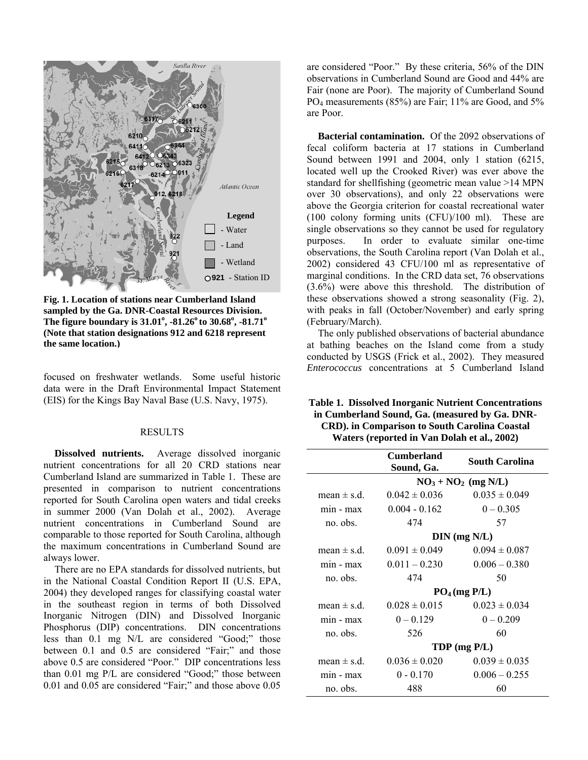

**Fig. 1. Location of stations near Cumberland Island sampled by the Ga. DNR-Coastal Resources Division.**  The figure boundary is  $31.01^{\circ}$ ,  $-81.26^{\circ}$  to  $30.68^{\circ}$ ,  $-81.71^{\circ}$ **(Note that station designations 912 and 6218 represent the same location.)**

focused on freshwater wetlands. Some useful historic data were in the Draft Environmental Impact Statement (EIS) for the Kings Bay Naval Base (U.S. Navy, 1975).

#### RESULTS

**Dissolved nutrients.** Average dissolved inorganic nutrient concentrations for all 20 CRD stations near Cumberland Island are summarized in Table 1. These are presented in comparison to nutrient concentrations reported for South Carolina open waters and tidal creeks in summer 2000 (Van Dolah et al., 2002). Average nutrient concentrations in Cumberland Sound are comparable to those reported for South Carolina, although the maximum concentrations in Cumberland Sound are always lower.

There are no EPA standards for dissolved nutrients, but in the National Coastal Condition Report II (U.S. EPA, 2004) they developed ranges for classifying coastal water in the southeast region in terms of both Dissolved Inorganic Nitrogen (DIN) and Dissolved Inorganic Phosphorus (DIP) concentrations. DIN concentrations less than 0.1 mg N/L are considered "Good;" those between 0.1 and 0.5 are considered "Fair;" and those above 0.5 are considered "Poor." DIP concentrations less than 0.01 mg P/L are considered "Good;" those between 0.01 and 0.05 are considered "Fair;" and those above 0.05

are considered "Poor." By these criteria, 56% of the DIN observations in Cumberland Sound are Good and 44% are Fair (none are Poor). The majority of Cumberland Sound PO<sub>4</sub> measurements (85%) are Fair; 11% are Good, and 5% are Poor.

**Bacterial contamination.**Of the 2092 observations of fecal coliform bacteria at 17 stations in Cumberland Sound between 1991 and 2004, only 1 station (6215, located well up the Crooked River) was ever above the standard for shellfishing (geometric mean value >14 MPN over 30 observations), and only 22 observations were above the Georgia criterion for coastal recreational water (100 colony forming units (CFU)/100 ml). These are single observations so they cannot be used for regulatory purposes. In order to evaluate similar one-time observations, the South Carolina report (Van Dolah et al., 2002) considered 43 CFU/100 ml as representative of marginal conditions. In the CRD data set, 76 observations (3.6%) were above this threshold. The distribution of these observations showed a strong seasonality (Fig. 2), with peaks in fall (October/November) and early spring (February/March).

The only published observations of bacterial abundance at bathing beaches on the Island come from a study conducted by USGS (Frick et al., 2002). They measured *Enterococcus* concentrations at 5 Cumberland Island

| <b>Table 1. Dissolved Inorganic Nutrient Concentrations</b> |
|-------------------------------------------------------------|
| in Cumberland Sound, Ga. (measured by Ga. DNR-              |
| <b>CRD).</b> in Comparison to South Carolina Coastal        |
| Waters (reported in Van Dolah et al., 2002)                 |

| <b>South Carolina</b>        |  |  |
|------------------------------|--|--|
|                              |  |  |
|                              |  |  |
|                              |  |  |
|                              |  |  |
| $\overline{D}IN$ (mg $N/L$ ) |  |  |
|                              |  |  |
|                              |  |  |
|                              |  |  |
| PO <sub>4</sub> (mg P/L)     |  |  |
|                              |  |  |
|                              |  |  |
|                              |  |  |
|                              |  |  |
|                              |  |  |
|                              |  |  |
|                              |  |  |
|                              |  |  |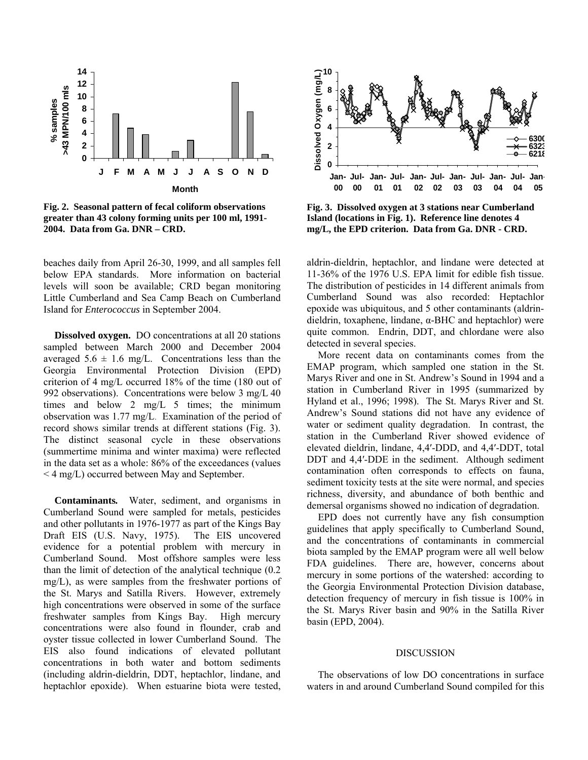

**Fig. 2. Seasonal pattern of fecal coliform observations greater than 43 colony forming units per 100 ml, 1991- 2004. Data from Ga. DNR – CRD.** 

beaches daily from April 26-30, 1999, and all samples fell below EPA standards. More information on bacterial levels will soon be available; CRD began monitoring Little Cumberland and Sea Camp Beach on Cumberland Island for *Enterococcus* in September 2004.

**Dissolved oxygen.** DO concentrations at all 20 stations sampled between March 2000 and December 2004 averaged  $5.6 \pm 1.6$  mg/L. Concentrations less than the Georgia Environmental Protection Division (EPD) criterion of 4 mg/L occurred 18% of the time (180 out of 992 observations). Concentrations were below 3 mg/L 40 times and below 2 mg/L 5 times; the minimum observation was 1.77 mg/L. Examination of the period of record shows similar trends at different stations (Fig. 3). The distinct seasonal cycle in these observations (summertime minima and winter maxima) were reflected in the data set as a whole: 86% of the exceedances (values < 4 mg/L) occurred between May and September.

**Contaminants***.* Water, sediment, and organisms in Cumberland Sound were sampled for metals, pesticides and other pollutants in 1976-1977 as part of the Kings Bay Draft EIS (U.S. Navy, 1975). The EIS uncovered evidence for a potential problem with mercury in Cumberland Sound. Most offshore samples were less than the limit of detection of the analytical technique (0.2 mg/L), as were samples from the freshwater portions of the St. Marys and Satilla Rivers. However, extremely high concentrations were observed in some of the surface freshwater samples from Kings Bay. High mercury concentrations were also found in flounder, crab and oyster tissue collected in lower Cumberland Sound. The EIS also found indications of elevated pollutant concentrations in both water and bottom sediments (including aldrin-dieldrin, DDT, heptachlor, lindane, and heptachlor epoxide). When estuarine biota were tested,



**Fig. 3. Dissolved oxygen at 3 stations near Cumberland Island (locations in Fig. 1). Reference line denotes 4 mg/L, the EPD criterion. Data from Ga. DNR - CRD.**

aldrin-dieldrin, heptachlor, and lindane were detected at 11-36% of the 1976 U.S. EPA limit for edible fish tissue. The distribution of pesticides in 14 different animals from Cumberland Sound was also recorded: Heptachlor epoxide was ubiquitous, and 5 other contaminants (aldrindieldrin, toxaphene, lindane, α-BHC and heptachlor) were quite common. Endrin, DDT, and chlordane were also detected in several species.

More recent data on contaminants comes from the EMAP program, which sampled one station in the St. Marys River and one in St. Andrew's Sound in 1994 and a station in Cumberland River in 1995 (summarized by Hyland et al., 1996; 1998). The St. Marys River and St. Andrew's Sound stations did not have any evidence of water or sediment quality degradation. In contrast, the station in the Cumberland River showed evidence of elevated dieldrin, lindane, 4,4′-DDD, and 4,4′-DDT, total DDT and 4,4′-DDE in the sediment. Although sediment contamination often corresponds to effects on fauna, sediment toxicity tests at the site were normal, and species richness, diversity, and abundance of both benthic and demersal organisms showed no indication of degradation.

EPD does not currently have any fish consumption guidelines that apply specifically to Cumberland Sound, and the concentrations of contaminants in commercial biota sampled by the EMAP program were all well below FDA guidelines. There are, however, concerns about mercury in some portions of the watershed: according to the Georgia Environmental Protection Division database, detection frequency of mercury in fish tissue is 100% in the St. Marys River basin and 90% in the Satilla River basin (EPD, 2004).

#### DISCUSSION

The observations of low DO concentrations in surface waters in and around Cumberland Sound compiled for this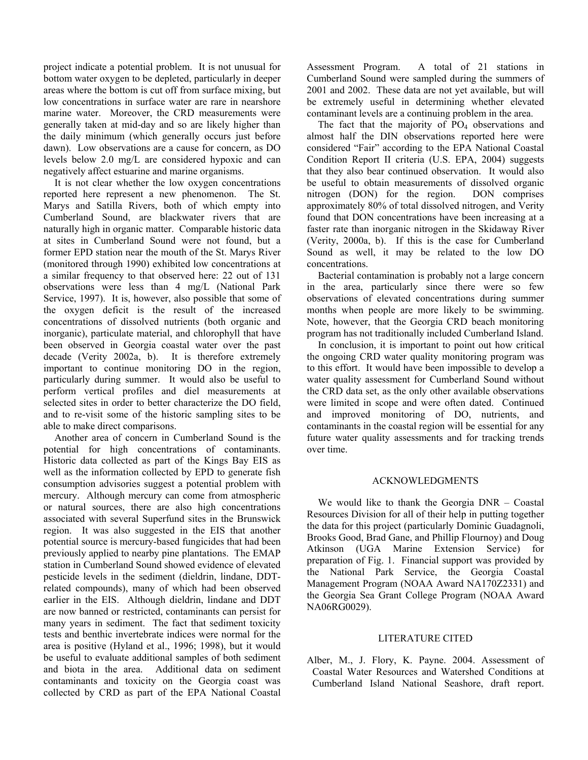project indicate a potential problem. It is not unusual for bottom water oxygen to be depleted, particularly in deeper areas where the bottom is cut off from surface mixing, but low concentrations in surface water are rare in nearshore marine water. Moreover, the CRD measurements were generally taken at mid-day and so are likely higher than the daily minimum (which generally occurs just before dawn). Low observations are a cause for concern, as DO levels below 2.0 mg/L are considered hypoxic and can negatively affect estuarine and marine organisms.

It is not clear whether the low oxygen concentrations reported here represent a new phenomenon. The St. Marys and Satilla Rivers, both of which empty into Cumberland Sound, are blackwater rivers that are naturally high in organic matter. Comparable historic data at sites in Cumberland Sound were not found, but a former EPD station near the mouth of the St. Marys River (monitored through 1990) exhibited low concentrations at a similar frequency to that observed here: 22 out of 131 observations were less than 4 mg/L (National Park Service, 1997). It is, however, also possible that some of the oxygen deficit is the result of the increased concentrations of dissolved nutrients (both organic and inorganic), particulate material, and chlorophyll that have been observed in Georgia coastal water over the past decade (Verity 2002a, b). It is therefore extremely important to continue monitoring DO in the region, particularly during summer. It would also be useful to perform vertical profiles and diel measurements at selected sites in order to better characterize the DO field, and to re-visit some of the historic sampling sites to be able to make direct comparisons.

Another area of concern in Cumberland Sound is the potential for high concentrations of contaminants. Historic data collected as part of the Kings Bay EIS as well as the information collected by EPD to generate fish consumption advisories suggest a potential problem with mercury. Although mercury can come from atmospheric or natural sources, there are also high concentrations associated with several Superfund sites in the Brunswick region. It was also suggested in the EIS that another potential source is mercury-based fungicides that had been previously applied to nearby pine plantations. The EMAP station in Cumberland Sound showed evidence of elevated pesticide levels in the sediment (dieldrin, lindane, DDTrelated compounds), many of which had been observed earlier in the EIS. Although dieldrin, lindane and DDT are now banned or restricted, contaminants can persist for many years in sediment. The fact that sediment toxicity tests and benthic invertebrate indices were normal for the area is positive (Hyland et al., 1996; 1998), but it would be useful to evaluate additional samples of both sediment and biota in the area. Additional data on sediment contaminants and toxicity on the Georgia coast was collected by CRD as part of the EPA National Coastal

Assessment Program. A total of 21 stations in Cumberland Sound were sampled during the summers of 2001 and 2002. These data are not yet available, but will be extremely useful in determining whether elevated contaminant levels are a continuing problem in the area.

The fact that the majority of  $PO<sub>4</sub>$  observations and almost half the DIN observations reported here were considered "Fair" according to the EPA National Coastal Condition Report II criteria (U.S. EPA, 2004) suggests that they also bear continued observation. It would also be useful to obtain measurements of dissolved organic nitrogen (DON) for the region. DON comprises approximately 80% of total dissolved nitrogen, and Verity found that DON concentrations have been increasing at a faster rate than inorganic nitrogen in the Skidaway River (Verity, 2000a, b). If this is the case for Cumberland Sound as well, it may be related to the low DO concentrations.

Bacterial contamination is probably not a large concern in the area, particularly since there were so few observations of elevated concentrations during summer months when people are more likely to be swimming. Note, however, that the Georgia CRD beach monitoring program has not traditionally included Cumberland Island.

In conclusion, it is important to point out how critical the ongoing CRD water quality monitoring program was to this effort. It would have been impossible to develop a water quality assessment for Cumberland Sound without the CRD data set, as the only other available observations were limited in scope and were often dated. Continued and improved monitoring of DO, nutrients, and contaminants in the coastal region will be essential for any future water quality assessments and for tracking trends over time.

### ACKNOWLEDGMENTS

We would like to thank the Georgia DNR – Coastal Resources Division for all of their help in putting together the data for this project (particularly Dominic Guadagnoli, Brooks Good, Brad Gane, and Phillip Flournoy) and Doug Atkinson (UGA Marine Extension Service) for preparation of Fig. 1. Financial support was provided by the National Park Service, the Georgia Coastal Management Program (NOAA Award NA170Z2331) and the Georgia Sea Grant College Program (NOAA Award NA06RG0029).

### LITERATURE CITED

Alber, M., J. Flory, K. Payne. 2004. Assessment of Coastal Water Resources and Watershed Conditions at Cumberland Island National Seashore, draft report.